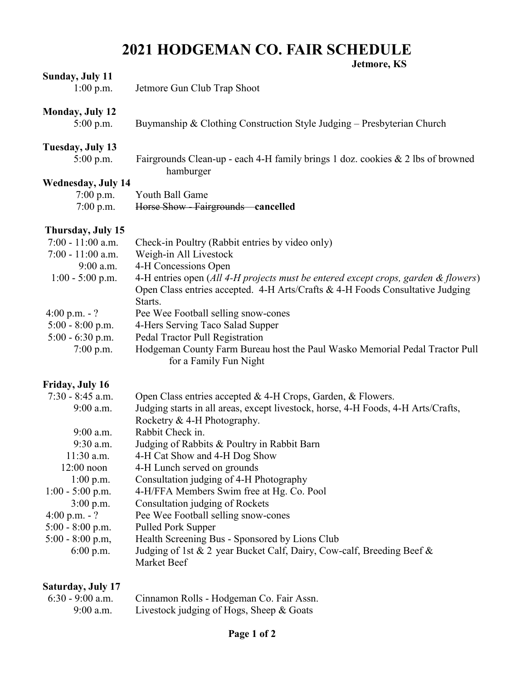## **2021 HODGEMAN CO. FAIR SCHEDULE Jetmore, KS**

|                          | Jeunore, IS                                                                                           |
|--------------------------|-------------------------------------------------------------------------------------------------------|
| <b>Sunday, July 11</b>   |                                                                                                       |
| $1:00$ p.m.              | Jetmore Gun Club Trap Shoot                                                                           |
| <b>Monday, July 12</b>   |                                                                                                       |
| $5:00$ p.m.              | Buymanship & Clothing Construction Style Judging $-$ Presbyterian Church                              |
| Tuesday, July 13         |                                                                                                       |
| $5:00$ p.m.              | Fairgrounds Clean-up - each 4-H family brings 1 doz. cookies & 2 lbs of browned                       |
|                          | hamburger                                                                                             |
| Wednesday, July 14       |                                                                                                       |
| $7:00$ p.m.              | Youth Ball Game                                                                                       |
| $7:00$ p.m.              | Horse Show - Fairgrounds cancelled                                                                    |
| Thursday, July 15        |                                                                                                       |
| $7:00 - 11:00$ a.m.      | Check-in Poultry (Rabbit entries by video only)                                                       |
| $7:00 - 11:00$ a.m.      | Weigh-in All Livestock                                                                                |
| $9:00$ a.m.              | 4-H Concessions Open                                                                                  |
| $1:00 - 5:00$ p.m.       | 4-H entries open (All 4-H projects must be entered except crops, garden & flowers)                    |
|                          | Open Class entries accepted. 4-H Arts/Crafts & 4-H Foods Consultative Judging                         |
|                          | Starts.                                                                                               |
| 4:00 p.m. $-$ ?          | Pee Wee Football selling snow-cones                                                                   |
| $5:00 - 8:00$ p.m.       | 4-Hers Serving Taco Salad Supper                                                                      |
| $5:00 - 6:30$ p.m.       | Pedal Tractor Pull Registration                                                                       |
| $7:00$ p.m.              | Hodgeman County Farm Bureau host the Paul Wasko Memorial Pedal Tractor Pull<br>for a Family Fun Night |
|                          |                                                                                                       |
| Friday, July 16          |                                                                                                       |
| $7:30 - 8:45$ a.m.       | Open Class entries accepted & 4-H Crops, Garden, & Flowers.                                           |
| $9:00$ a.m.              | Judging starts in all areas, except livestock, horse, 4-H Foods, 4-H Arts/Crafts,                     |
|                          | Rocketry & 4-H Photography.<br>Rabbit Check in.                                                       |
| 9:00 a.m.<br>9:30 a.m.   | Judging of Rabbits & Poultry in Rabbit Barn                                                           |
| 11:30 a.m.               | 4-H Cat Show and 4-H Dog Show                                                                         |
| $12:00$ noon             | 4-H Lunch served on grounds                                                                           |
| $1:00$ p.m.              | Consultation judging of 4-H Photography                                                               |
| $1:00 - 5:00$ p.m.       | 4-H/FFA Members Swim free at Hg. Co. Pool                                                             |
| $3:00$ p.m.              | Consultation judging of Rockets                                                                       |
| 4:00 p.m. $-$ ?          | Pee Wee Football selling snow-cones                                                                   |
| $5:00 - 8:00$ p.m.       | <b>Pulled Pork Supper</b>                                                                             |
| $5:00 - 8:00$ p.m,       | Health Screening Bus - Sponsored by Lions Club                                                        |
| 6:00 p.m.                | Judging of 1st & 2 year Bucket Calf, Dairy, Cow-calf, Breeding Beef &                                 |
|                          | Market Beef                                                                                           |
| <b>Saturday, July 17</b> |                                                                                                       |
| $6:30 - 9:00$ a.m.       | Cinnamon Rolls - Hodgeman Co. Fair Assn.                                                              |
| 9:00 a.m.                | Livestock judging of Hogs, Sheep & Goats                                                              |